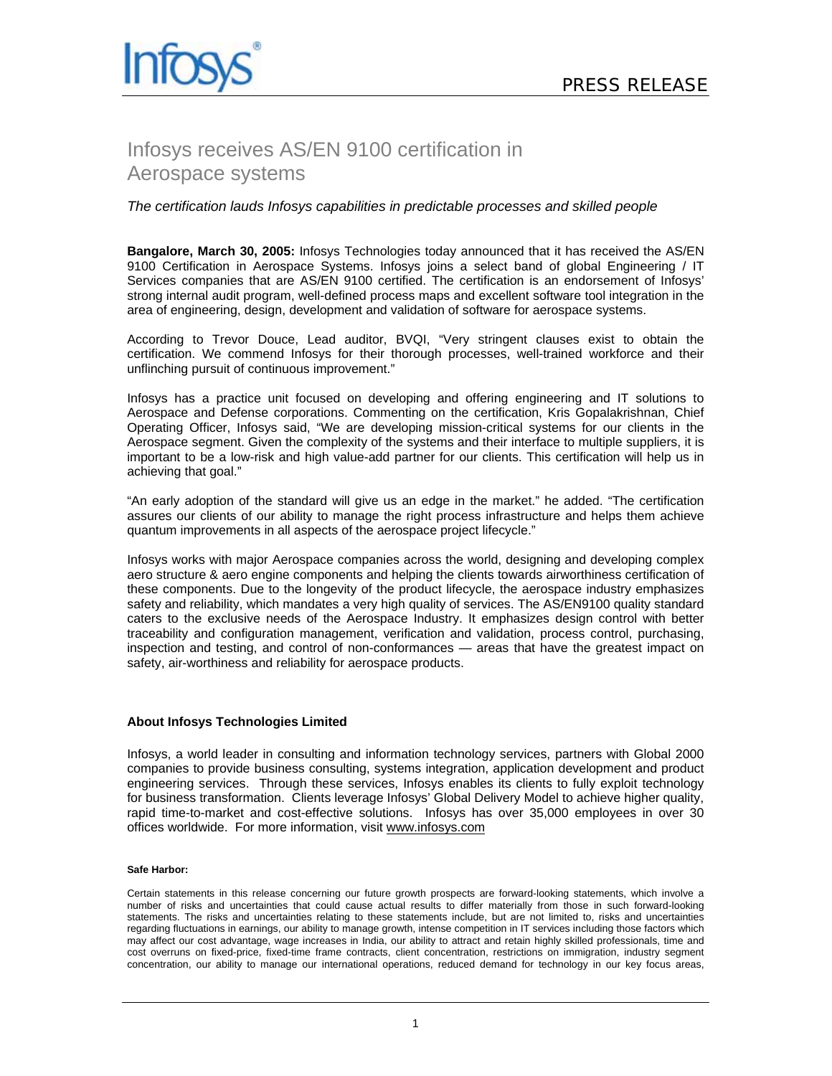

## Infosys receives AS/EN 9100 certification in Aerospace systems

## *The certification lauds Infosys capabilities in predictable processes and skilled people*

**Bangalore, March 30, 2005:** Infosys Technologies today announced that it has received the AS/EN 9100 Certification in Aerospace Systems. Infosys joins a select band of global Engineering / IT Services companies that are AS/EN 9100 certified. The certification is an endorsement of Infosys' strong internal audit program, well-defined process maps and excellent software tool integration in the area of engineering, design, development and validation of software for aerospace systems.

According to Trevor Douce, Lead auditor, BVQI, "Very stringent clauses exist to obtain the certification. We commend Infosys for their thorough processes, well-trained workforce and their unflinching pursuit of continuous improvement."

Infosys has a practice unit focused on developing and offering engineering and IT solutions to Aerospace and Defense corporations. Commenting on the certification, Kris Gopalakrishnan, Chief Operating Officer, Infosys said, "We are developing mission-critical systems for our clients in the Aerospace segment. Given the complexity of the systems and their interface to multiple suppliers, it is important to be a low-risk and high value-add partner for our clients. This certification will help us in achieving that goal."

"An early adoption of the standard will give us an edge in the market." he added. "The certification assures our clients of our ability to manage the right process infrastructure and helps them achieve quantum improvements in all aspects of the aerospace project lifecycle."

Infosys works with major Aerospace companies across the world, designing and developing complex aero structure & aero engine components and helping the clients towards airworthiness certification of these components. Due to the longevity of the product lifecycle, the aerospace industry emphasizes safety and reliability, which mandates a very high quality of services. The AS/EN9100 quality standard caters to the exclusive needs of the Aerospace Industry. It emphasizes design control with better traceability and configuration management, verification and validation, process control, purchasing, inspection and testing, and control of non-conformances — areas that have the greatest impact on safety, air-worthiness and reliability for aerospace products.

## **About Infosys Technologies Limited**

Infosys, a world leader in consulting and information technology services, partners with Global 2000 companies to provide business consulting, systems integration, application development and product engineering services. Through these services, Infosys enables its clients to fully exploit technology for business transformation. Clients leverage Infosys' Global Delivery Model to achieve higher quality, rapid time-to-market and cost-effective solutions. Infosys has over 35,000 employees in over 30 offices worldwide. For more information, visit www.infosys.com

## **Safe Harbor:**

Certain statements in this release concerning our future growth prospects are forward-looking statements, which involve a number of risks and uncertainties that could cause actual results to differ materially from those in such forward-looking statements. The risks and uncertainties relating to these statements include, but are not limited to, risks and uncertainties regarding fluctuations in earnings, our ability to manage growth, intense competition in IT services including those factors which may affect our cost advantage, wage increases in India, our ability to attract and retain highly skilled professionals, time and cost overruns on fixed-price, fixed-time frame contracts, client concentration, restrictions on immigration, industry segment concentration, our ability to manage our international operations, reduced demand for technology in our key focus areas,